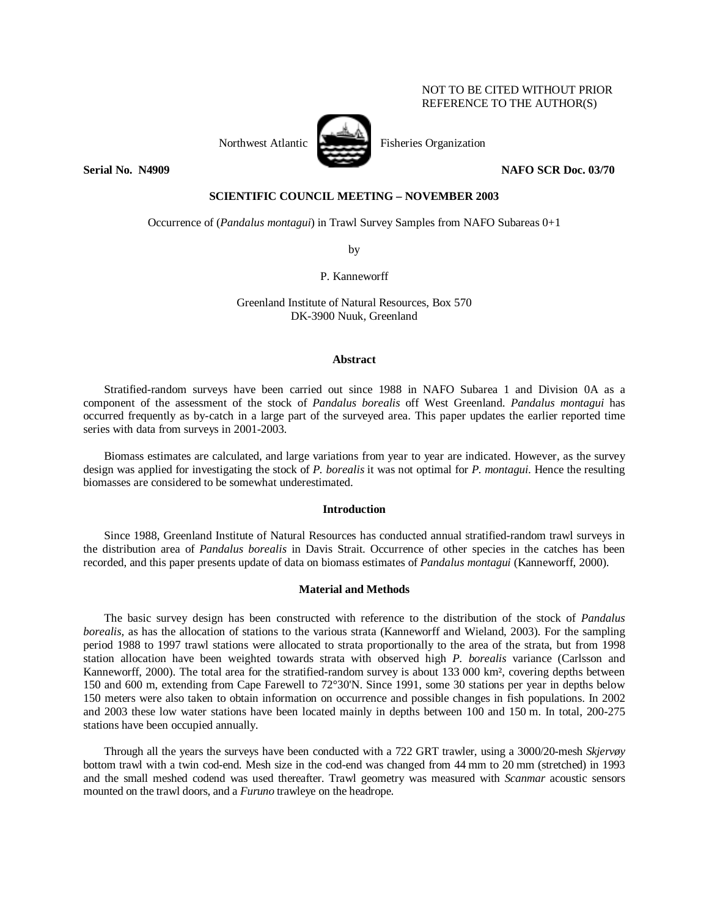## NOT TO BE CITED WITHOUT PRIOR REFERENCE TO THE AUTHOR(S)



Northwest Atlantic Fisheries Organization

**Serial No. N4909 NAFO SCR Doc. 03/70** 

# **SCIENTIFIC COUNCIL MEETING – NOVEMBER 2003**

Occurrence of (*Pandalus montagui*) in Trawl Survey Samples from NAFO Subareas 0+1

by

P. Kanneworff

Greenland Institute of Natural Resources, Box 570 DK-3900 Nuuk, Greenland

## **Abstract**

Stratified-random surveys have been carried out since 1988 in NAFO Subarea 1 and Division 0A as a component of the assessment of the stock of *Pandalus borealis* off West Greenland. *Pandalus montagui* has occurred frequently as by-catch in a large part of the surveyed area. This paper updates the earlier reported time series with data from surveys in 2001-2003.

Biomass estimates are calculated, and large variations from year to year are indicated. However, as the survey design was applied for investigating the stock of *P. borealis* it was not optimal for *P. montagui*. Hence the resulting biomasses are considered to be somewhat underestimated.

## **Introduction**

Since 1988, Greenland Institute of Natural Resources has conducted annual stratified-random trawl surveys in the distribution area of *Pandalus borealis* in Davis Strait. Occurrence of other species in the catches has been recorded, and this paper presents update of data on biomass estimates of *Pandalus montagui* (Kanneworff, 2000).

## **Material and Methods**

The basic survey design has been constructed with reference to the distribution of the stock of *Pandalus borealis,* as has the allocation of stations to the various strata (Kanneworff and Wieland, 2003). For the sampling period 1988 to 1997 trawl stations were allocated to strata proportionally to the area of the strata, but from 1998 station allocation have been weighted towards strata with observed high *P. borealis* variance (Carlsson and Kanneworff, 2000). The total area for the stratified-random survey is about 133 000 km², covering depths between 150 and 600 m, extending from Cape Farewell to 72°30'N. Since 1991, some 30 stations per year in depths below 150 meters were also taken to obtain information on occurrence and possible changes in fish populations. In 2002 and 2003 these low water stations have been located mainly in depths between 100 and 150 m. In total, 200-275 stations have been occupied annually.

Through all the years the surveys have been conducted with a 722 GRT trawler, using a 3000/20-mesh *Skjervøy* bottom trawl with a twin cod-end. Mesh size in the cod-end was changed from 44 mm to 20 mm (stretched) in 1993 and the small meshed codend was used thereafter. Trawl geometry was measured with *Scanmar* acoustic sensors mounted on the trawl doors, and a *Furuno* trawleye on the headrope.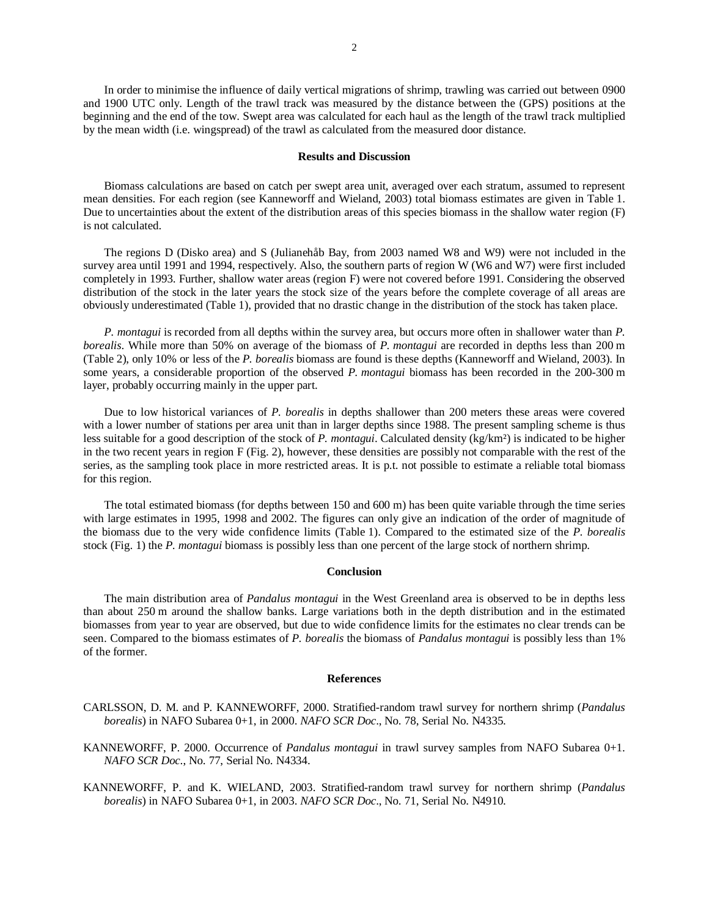In order to minimise the influence of daily vertical migrations of shrimp, trawling was carried out between 0900 and 1900 UTC only. Length of the trawl track was measured by the distance between the (GPS) positions at the beginning and the end of the tow. Swept area was calculated for each haul as the length of the trawl track multiplied by the mean width (i.e. wingspread) of the trawl as calculated from the measured door distance.

### **Results and Discussion**

Biomass calculations are based on catch per swept area unit, averaged over each stratum, assumed to represent mean densities. For each region (see Kanneworff and Wieland, 2003) total biomass estimates are given in Table 1. Due to uncertainties about the extent of the distribution areas of this species biomass in the shallow water region (F) is not calculated.

The regions D (Disko area) and S (Julianehåb Bay, from 2003 named W8 and W9) were not included in the survey area until 1991 and 1994, respectively. Also, the southern parts of region W (W6 and W7) were first included completely in 1993. Further, shallow water areas (region F) were not covered before 1991. Considering the observed distribution of the stock in the later years the stock size of the years before the complete coverage of all areas are obviously underestimated (Table 1), provided that no drastic change in the distribution of the stock has taken place.

*P. montagui* is recorded from all depths within the survey area, but occurs more often in shallower water than *P. borealis*. While more than 50% on average of the biomass of *P. montagui* are recorded in depths less than 200 m (Table 2), only 10% or less of the *P. borealis* biomass are found is these depths (Kanneworff and Wieland, 2003). In some years, a considerable proportion of the observed *P. montagui* biomass has been recorded in the 200-300 m layer, probably occurring mainly in the upper part.

Due to low historical variances of *P. borealis* in depths shallower than 200 meters these areas were covered with a lower number of stations per area unit than in larger depths since 1988. The present sampling scheme is thus less suitable for a good description of the stock of *P. montagui*. Calculated density (kg/km²) is indicated to be higher in the two recent years in region F (Fig. 2), however, these densities are possibly not comparable with the rest of the series, as the sampling took place in more restricted areas. It is p.t. not possible to estimate a reliable total biomass for this region.

The total estimated biomass (for depths between 150 and 600 m) has been quite variable through the time series with large estimates in 1995, 1998 and 2002. The figures can only give an indication of the order of magnitude of the biomass due to the very wide confidence limits (Table 1). Compared to the estimated size of the *P. borealis* stock (Fig. 1) the *P. montagui* biomass is possibly less than one percent of the large stock of northern shrimp.

### **Conclusion**

The main distribution area of *Pandalus montagui* in the West Greenland area is observed to be in depths less than about 250 m around the shallow banks. Large variations both in the depth distribution and in the estimated biomasses from year to year are observed, but due to wide confidence limits for the estimates no clear trends can be seen. Compared to the biomass estimates of *P. borealis* the biomass of *Pandalus montagui* is possibly less than 1% of the former.

#### **References**

- CARLSSON, D. M. and P. KANNEWORFF, 2000. Stratified-random trawl survey for northern shrimp (*Pandalus borealis*) in NAFO Subarea 0+1, in 2000. *NAFO SCR Doc*., No. 78, Serial No. N4335.
- KANNEWORFF, P. 2000. Occurrence of *Pandalus montagui* in trawl survey samples from NAFO Subarea 0+1. *NAFO SCR Doc*., No. 77, Serial No. N4334.
- KANNEWORFF, P. and K. WIELAND, 2003. Stratified-random trawl survey for northern shrimp (*Pandalus borealis*) in NAFO Subarea 0+1, in 2003. *NAFO SCR Doc*., No. 71, Serial No. N4910.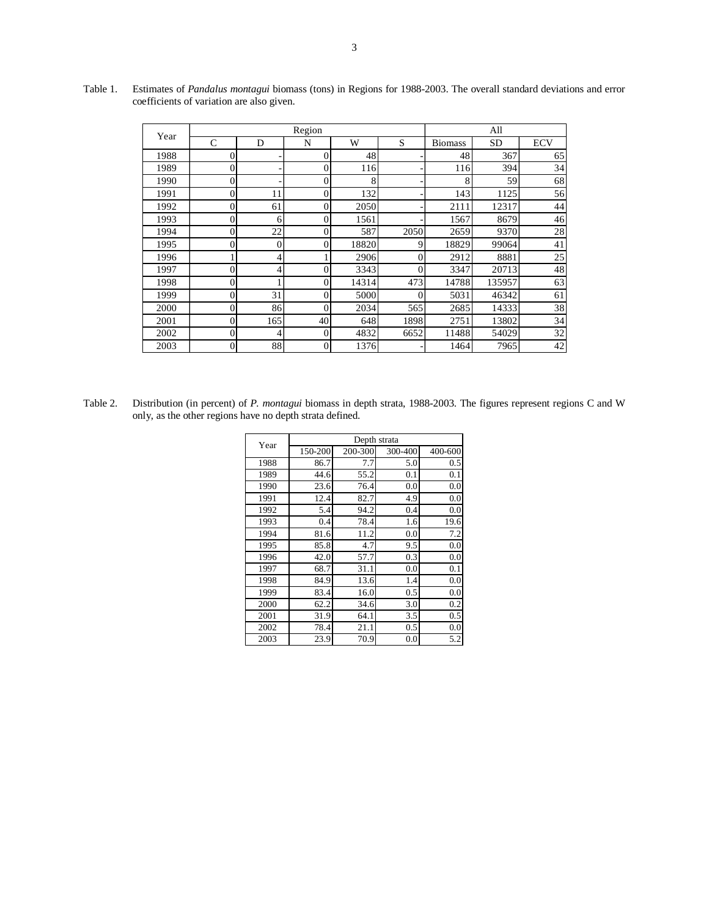| Year | Region           |                  |                |       |      | All            |        |            |
|------|------------------|------------------|----------------|-------|------|----------------|--------|------------|
|      | $\mathcal{C}$    | D                | N              | W     | S    | <b>Biomass</b> | SD     | <b>ECV</b> |
| 1988 | 0                |                  | $\Omega$       | 48    |      | 48             | 367    | 65         |
| 1989 | $\overline{0}$   |                  | $\theta$       | 116   |      | 116            | 394    | 34         |
| 1990 | $\overline{0}$   |                  | $\overline{0}$ | 8     |      | 8              | 59     | 68         |
| 1991 | $\overline{0}$   | 11               | $\theta$       | 132   |      | 143            | 1125   | 56         |
| 1992 | $\overline{0}$   | 61               | 0              | 2050  |      | 2111           | 12317  | 44         |
| 1993 | 0                | 6                | 0              | 1561  |      | 1567           | 8679   | 46         |
| 1994 | $\overline{0}$   | 22               | 0              | 587   | 2050 | 2659           | 9370   | 28         |
| 1995 | 0                | $\boldsymbol{0}$ | 0              | 18820 | 9    | 18829          | 99064  | 41         |
| 1996 |                  | 4                |                | 2906  | 0    | 2912           | 8881   | 25         |
| 1997 | $\mathbf{0}$     | 4                | 0              | 3343  | 0    | 3347           | 20713  | 48         |
| 1998 | $\overline{0}$   |                  | $\theta$       | 14314 | 473  | 14788          | 135957 | 63         |
| 1999 | 0                | 31               | 0              | 5000  |      | 5031           | 46342  | 61         |
| 2000 | $\overline{0}$   | 86               | $\Omega$       | 2034  | 565  | 2685           | 14333  | 38         |
| 2001 | $\overline{0}$   | 165              | 40             | 648   | 1898 | 2751           | 13802  | 34         |
| 2002 | $\boldsymbol{0}$ | 4                | 0              | 4832  | 6652 | 11488          | 54029  | 32         |
| 2003 | $\overline{0}$   | 88               | $\theta$       | 1376  |      | 1464           | 7965   | 42         |

Table 1. Estimates of *Pandalus montagui* biomass (tons) in Regions for 1988-2003. The overall standard deviations and error coefficients of variation are also given.

Table 2. Distribution (in percent) of *P. montagui* biomass in depth strata, 1988-2003. The figures represent regions C and W only, as the other regions have no depth strata defined.

| Year | Depth strata |         |         |         |  |  |  |
|------|--------------|---------|---------|---------|--|--|--|
|      | 150-200      | 200-300 | 300-400 | 400-600 |  |  |  |
| 1988 | 86.7         | 7.7     | 5.0     | 0.5     |  |  |  |
| 1989 | 44.6         | 55.2    | 0.1     | 0.1     |  |  |  |
| 1990 | 23.6         | 76.4    | 0.0     | 0.0     |  |  |  |
| 1991 | 12.4         | 82.7    | 4.9     | 0.0     |  |  |  |
| 1992 | 5.4          | 94.2    | 0.4     | 0.0     |  |  |  |
| 1993 | 0.4          | 78.4    | 1.6     | 19.6    |  |  |  |
| 1994 | 81.6         | 11.2    | 0.0     | 7.2     |  |  |  |
| 1995 | 85.8         | 4.7     | 9.5     | 0.0     |  |  |  |
| 1996 | 42.0         | 57.7    | 0.3     | 0.0     |  |  |  |
| 1997 | 68.7         | 31.1    | 0.0     | 0.1     |  |  |  |
| 1998 | 84.9         | 13.6    | 1.4     | 0.0     |  |  |  |
| 1999 | 83.4         | 16.0    | 0.5     | 0.0     |  |  |  |
| 2000 | 62.2         | 34.6    | 3.0     | 0.2     |  |  |  |
| 2001 | 31.9         | 64.1    | 3.5     | 0.5     |  |  |  |
| 2002 | 78.4         | 21.1    | 0.5     | 0.0     |  |  |  |
| 2003 | 23.9         | 70.9    | 0.0     | 5.2     |  |  |  |